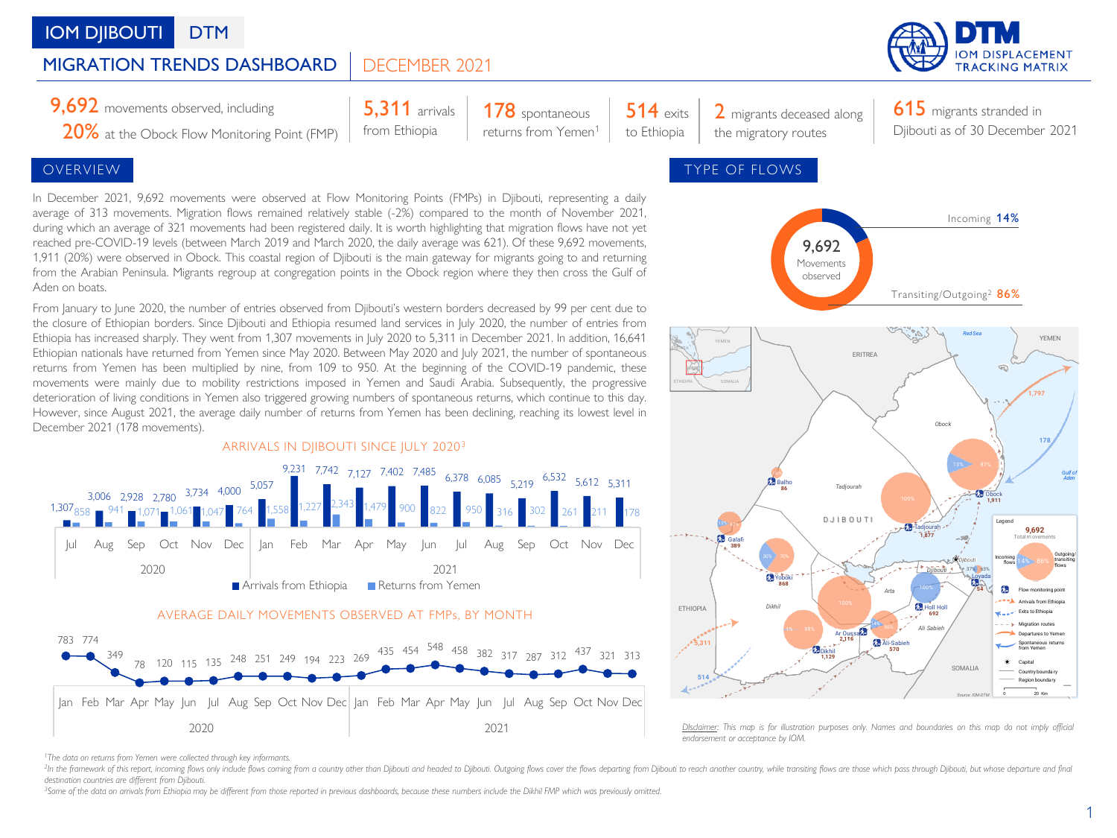# **IOM DIIBOUTI** DTM

#### DECEMBER 2021 MIGRATION TRENDS DASHBOARD



**9,692** movements observed, including  $\begin{array}{|c|c|c|c|c|}\n \hline\n 5,311 \text{ arrivals} & 178 \text{ spontaneous} & 514 \text{ exits} & 2 \text{ migrants deceased along}\n \hline\n \end{array}$ 

20% at the Obock Flow Monitoring Point (FMP)

5,311 arrivals from Ethiopia

178 spontaneous returns from Yemen<sup>1</sup>

514 exits to Ethiopia

615 migrants stranded in Djibouti as of 30 December 2021

In December 2021, 9,692 movements were observed at Flow Monitoring Points (FMPs) in Djibouti, representing a daily average of 313 movements. Migration flows remained relatively stable (-2%) compared to the month of November 2021, during which an average of 321 movements had been registered daily. It is worth highlighting that migration flows have not yet reached pre-COVID-19 levels (between March 2019 and March 2020, the daily average was 621). Of these 9,692 movements, 1,911 (20%) were observed in Obock. This coastal region of Djibouti is the main gateway for migrants going to and returning from the Arabian Peninsula. Migrants regroup at congregation points in the Obock region where they then cross the Gulf of Aden on boats.

From January to June 2020, the number of entries observed from Djibouti's western borders decreased by 99 per cent due to the closure of Ethiopian borders. Since Djibouti and Ethiopia resumed land services in July 2020, the number of entries from Ethiopia has increased sharply. They went from 1,307 movements in July 2020 to 5,311 in December 2021. In addition, 16,641 Ethiopian nationals have returned from Yemen since May 2020. Between May 2020 and July 2021, the number of spontaneous returns from Yemen has been multiplied by nine, from 109 to 950. At the beginning of the COVID-19 pandemic, these movements were mainly due to mobility restrictions imposed in Yemen and Saudi Arabia. Subsequently, the progressive deterioration of living conditions in Yemen also triggered growing numbers of spontaneous returns, which continue to this day. However, since August 2021, the average daily number of returns from Yemen has been declining, reaching its lowest level in December 2021 (178 movements).



Jan Feb Mar Apr May Jun Jul Aug Sep Oct Nov Dec Jan Feb Mar Apr May Jun Jul Aug Sep Oct Nov Dec 2020 2021



Disclaimer: This map is for illustration purposes only. Names and boundaries on this map do not imply official *endorsement or acceptance by IOM.*

<sup>2</sup>In the framework of this report, incoming flows only include flows coming from a country other than Djibouti and headed to Djibouti. Outgoing flows cover the flows departing from Djibouti our each another country, while *destination countries are different from Djibouti.*

<sup>3</sup>Some of the data on arrivals from Ethiopia may be different from those reported in previous dashboards, because these numbers include the Dikhil FMP which was previously omitted.

*<sup>1</sup>The data on returns from Yemen were collected through key informants.*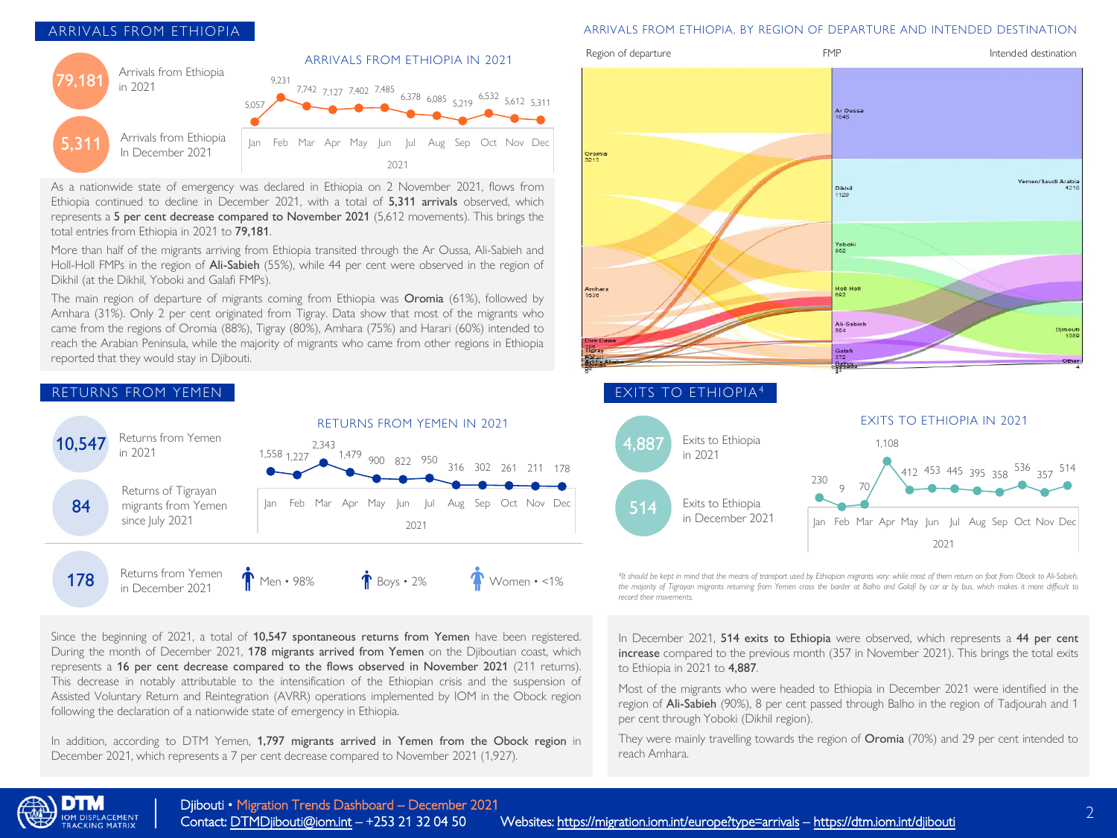## ARRIVALS FROM ETHIOPIA



As a nationwide state of emergency was declared in Ethiopia on 2 November 2021, flows from Ethiopia continued to decline in December 2021, with a total of 5,311 arrivals observed, which represents a 5 per cent decrease compared to November 2021 (5,612 movements). This brings the total entries from Ethiopia in 2021 to 79,181.

More than half of the migrants arriving from Ethiopia transited through the Ar Oussa, Ali-Sabieh and Holl-Holl FMPs in the region of Ali-Sabieh (55%), while 44 per cent were observed in the region of Dikhil (at the Dikhil, Yoboki and Galafi FMPs).

The main region of departure of migrants coming from Ethiopia was Oromia (61%), followed by Amhara (31%). Only 2 per cent originated from Tigray. Data show that most of the migrants who came from the regions of Oromia (88%), Tigray (80%), Amhara (75%) and Harari (60%) intended to reach the Arabian Peninsula, while the majority of migrants who came from other regions in Ethiopia reported that they would stay in Djibouti.



Since the beginning of 2021, a total of 10,547 spontaneous returns from Yemen have been registered. During the month of December 2021, 178 migrants arrived from Yemen on the Djiboutian coast, which represents a 16 per cent decrease compared to the flows observed in November 2021 (211 returns). This decrease in notably attributable to the intensification of the Ethiopian crisis and the suspension of Assisted Voluntary Return and Reintegration (AVRR) operations implemented by IOM in the Obock region following the declaration of a nationwide state of emergency in Ethiopia.

In addition, according to DTM Yemen, 1,797 migrants arrived in Yemen from the Obock region in December 2021, which represents a 7 per cent decrease compared to November 2021 (1,927).

### ARRIVALS FROM ETHIOPIA, BY REGION OF DEPARTURE AND INTENDED DESTINATION



<sup>4</sup>It should be kept in mind that the means of transport used by Ethiopian migrants vary: while most of them return on foot from Obock to Ali-Sabieh, the majority of Tigrayan migrants returning from Yemen cross the border at Balho and Galafi by car or by bus, which makes it more difficult to *record their movements.*

2021

In December 2021, 514 exits to Ethiopia were observed, which represents a 44 per cent increase compared to the previous month (357 in November 2021). This brings the total exits to Ethiopia in 2021 to 4,887.

Most of the migrants who were headed to Ethiopia in December 2021 were identified in the region of Ali-Sabieh (90%), 8 per cent passed through Balho in the region of Tadjourah and 1 per cent through Yoboki (Dikhil region).

They were mainly travelling towards the region of Oromia (70%) and 29 per cent intended to reach Amhara.

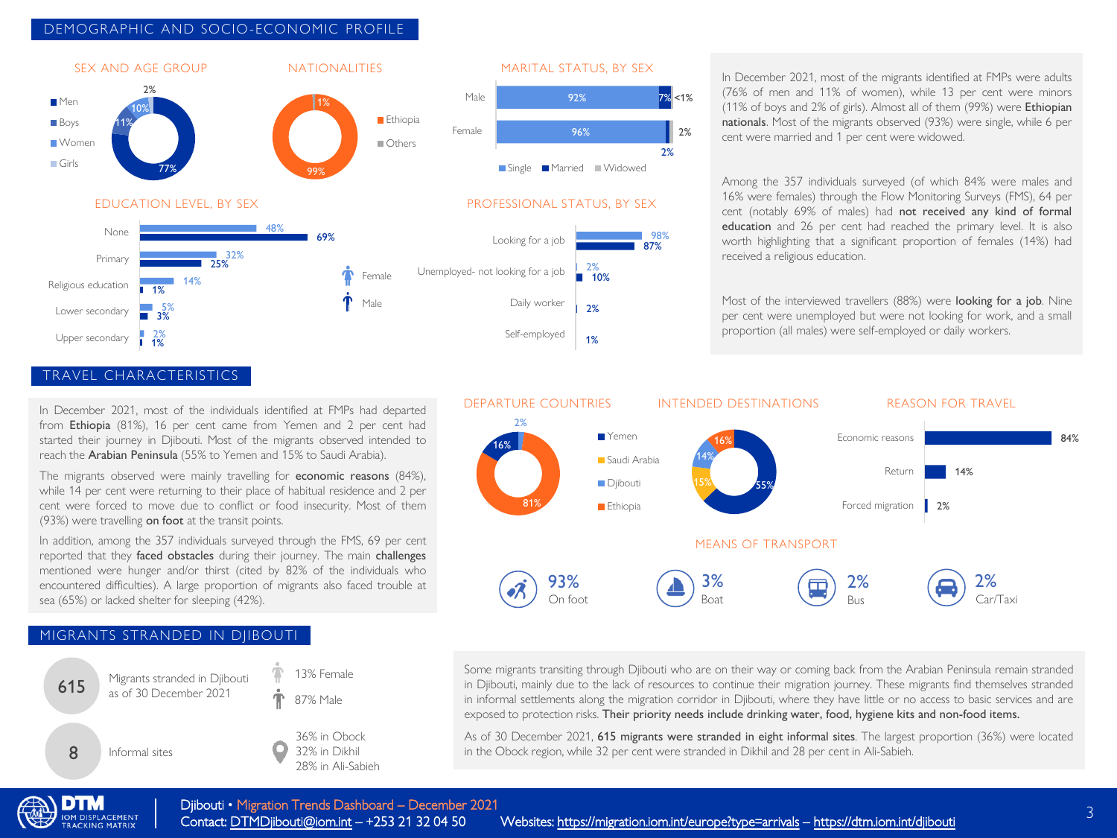## DEMOGRAPHIC AND SOCIO-ECONOMIC PROFILE



## In December 2021, most of the migrants identified at FMPs were adults (76% of men and 11% of women), while 13 per cent were minors (11% of boys and 2% of girls). Almost all of them (99%) were Ethiopian nationals. Most of the migrants observed (93%) were single, while 6 per cent were married and 1 per cent were widowed.

Among the 357 individuals surveyed (of which 84% were males and 16% were females) through the Flow Monitoring Surveys (FMS), 64 per cent (notably 69% of males) had not received any kind of formal education and 26 per cent had reached the primary level. It is also worth highlighting that a significant proportion of females (14%) had received a religious education.

Most of the interviewed travellers (88%) were looking for a job. Nine per cent were unemployed but were not looking for work, and a small proportion (all males) were self-employed or daily workers.



In December 2021, most of the individuals identified at FMPs had departed from Ethiopia (81%), 16 per cent came from Yemen and 2 per cent had started their journey in Djibouti. Most of the migrants observed intended to reach the Arabian Peninsula (55% to Yemen and 15% to Saudi Arabia).

The migrants observed were mainly travelling for economic reasons (84%), while 14 per cent were returning to their place of habitual residence and 2 per cent were forced to move due to conflict or food insecurity. Most of them (93%) were travelling on foot at the transit points.

In addition, among the 357 individuals surveyed through the FMS, 69 per cent reported that they faced obstacles during their journey. The main challenges mentioned were hunger and/or thirst (cited by 82% of the individuals who encountered difficulties). A large proportion of migrants also faced trouble at sea (65%) or lacked shelter for sleeping (42%).

## MIGRANTS STRANDED IN DJIBOUTI





2%

87% 98%

7% <1%

2%

Some migrants transiting through Djibouti who are on their way or coming back from the Arabian Peninsula remain stranded in Djibouti, mainly due to the lack of resources to continue their migration journey. These migrants find themselves stranded in informal settlements along the migration corridor in Djibouti, where they have little or no access to basic services and are exposed to protection risks. Their priority needs include drinking water, food, hygiene kits and non-food items.

As of 30 December 2021, 615 migrants were stranded in eight informal sites. The largest proportion (36%) were located in the Obock region, while 32 per cent were stranded in Dikhil and 28 per cent in Ali-Sabieh.